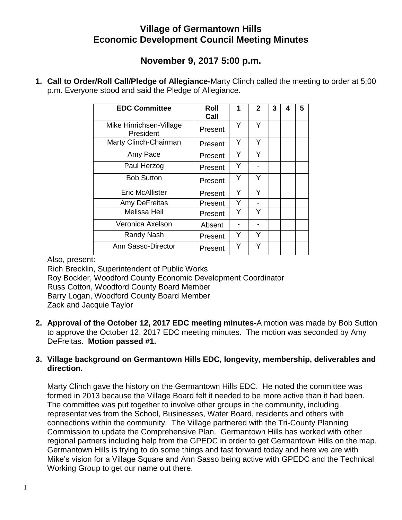## **Village of Germantown Hills Economic Development Council Meeting Minutes**

# **November 9, 2017 5:00 p.m.**

**1. Call to Order/Roll Call/Pledge of Allegiance-**Marty Clinch called the meeting to order at 5:00 p.m. Everyone stood and said the Pledge of Allegiance.

| <b>EDC Committee</b>                 | Roll<br>Call | 1 | $\mathbf{2}$ | 3 | 4 | 5 |
|--------------------------------------|--------------|---|--------------|---|---|---|
| Mike Hinrichsen-Village<br>President | Present      | Υ | Υ            |   |   |   |
| Marty Clinch-Chairman                | Present      | Y | Y            |   |   |   |
| Amy Pace                             | Present      | Y | Y            |   |   |   |
| Paul Herzog                          | Present      | Υ |              |   |   |   |
| <b>Bob Sutton</b>                    | Present      | Y | Y            |   |   |   |
| <b>Eric McAllister</b>               | Present      | Y | Y            |   |   |   |
| Amy DeFreitas                        | Present      | Y |              |   |   |   |
| <b>Melissa Heil</b>                  | Present      | Y |              |   |   |   |
| Veronica Axelson                     | Absent       |   |              |   |   |   |
| Randy Nash                           | Present      | Y | Y            |   |   |   |
| Ann Sasso-Director                   | Present      | Υ | Y            |   |   |   |

Also, present:

Rich Brecklin, Superintendent of Public Works Roy Bockler, Woodford County Economic Development Coordinator Russ Cotton, Woodford County Board Member Barry Logan, Woodford County Board Member Zack and Jacquie Taylor

**2. Approval of the October 12, 2017 EDC meeting minutes-**A motion was made by Bob Sutton to approve the October 12, 2017 EDC meeting minutes. The motion was seconded by Amy DeFreitas. **Motion passed #1.**

### **3. Village background on Germantown Hills EDC, longevity, membership, deliverables and direction.**

Marty Clinch gave the history on the Germantown Hills EDC. He noted the committee was formed in 2013 because the Village Board felt it needed to be more active than it had been. The committee was put together to involve other groups in the community, including representatives from the School, Businesses, Water Board, residents and others with connections within the community. The Village partnered with the Tri-County Planning Commission to update the Comprehensive Plan. Germantown Hills has worked with other regional partners including help from the GPEDC in order to get Germantown Hills on the map. Germantown Hills is trying to do some things and fast forward today and here we are with Mike's vision for a Village Square and Ann Sasso being active with GPEDC and the Technical Working Group to get our name out there.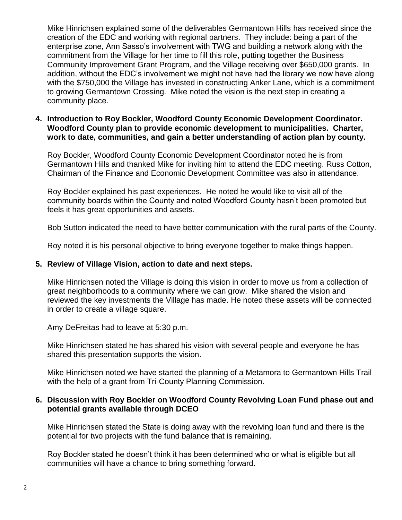Mike Hinrichsen explained some of the deliverables Germantown Hills has received since the creation of the EDC and working with regional partners. They include: being a part of the enterprise zone, Ann Sasso's involvement with TWG and building a network along with the commitment from the Village for her time to fill this role, putting together the Business Community Improvement Grant Program, and the Village receiving over \$650,000 grants. In addition, without the EDC's involvement we might not have had the library we now have along with the \$750,000 the Village has invested in constructing Anker Lane, which is a commitment to growing Germantown Crossing. Mike noted the vision is the next step in creating a community place.

#### **4. Introduction to Roy Bockler, Woodford County Economic Development Coordinator. Woodford County plan to provide economic development to municipalities. Charter, work to date, communities, and gain a better understanding of action plan by county.**

Roy Bockler, Woodford County Economic Development Coordinator noted he is from Germantown Hills and thanked Mike for inviting him to attend the EDC meeting. Russ Cotton, Chairman of the Finance and Economic Development Committee was also in attendance.

Roy Bockler explained his past experiences. He noted he would like to visit all of the community boards within the County and noted Woodford County hasn't been promoted but feels it has great opportunities and assets.

Bob Sutton indicated the need to have better communication with the rural parts of the County.

Roy noted it is his personal objective to bring everyone together to make things happen.

### **5. Review of Village Vision, action to date and next steps.**

Mike Hinrichsen noted the Village is doing this vision in order to move us from a collection of great neighborhoods to a community where we can grow. Mike shared the vision and reviewed the key investments the Village has made. He noted these assets will be connected in order to create a village square.

Amy DeFreitas had to leave at 5:30 p.m.

Mike Hinrichsen stated he has shared his vision with several people and everyone he has shared this presentation supports the vision.

Mike Hinrichsen noted we have started the planning of a Metamora to Germantown Hills Trail with the help of a grant from Tri-County Planning Commission.

#### **6. Discussion with Roy Bockler on Woodford County Revolving Loan Fund phase out and potential grants available through DCEO**

Mike Hinrichsen stated the State is doing away with the revolving loan fund and there is the potential for two projects with the fund balance that is remaining.

Roy Bockler stated he doesn't think it has been determined who or what is eligible but all communities will have a chance to bring something forward.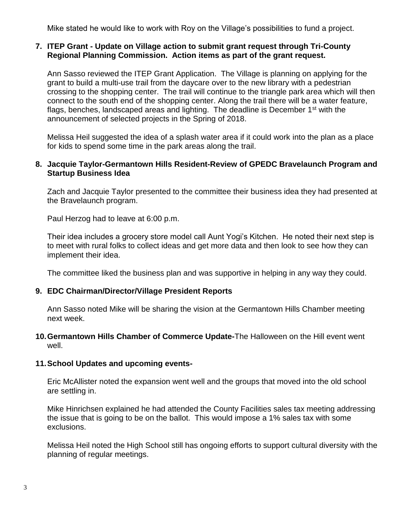Mike stated he would like to work with Roy on the Village's possibilities to fund a project.

#### **7. ITEP Grant - Update on Village action to submit grant request through Tri-County Regional Planning Commission. Action items as part of the grant request.**

Ann Sasso reviewed the ITEP Grant Application. The Village is planning on applying for the grant to build a multi-use trail from the daycare over to the new library with a pedestrian crossing to the shopping center. The trail will continue to the triangle park area which will then connect to the south end of the shopping center. Along the trail there will be a water feature, flags, benches, landscaped areas and lighting. The deadline is December  $1<sup>st</sup>$  with the announcement of selected projects in the Spring of 2018.

Melissa Heil suggested the idea of a splash water area if it could work into the plan as a place for kids to spend some time in the park areas along the trail.

### **8. Jacquie Taylor-Germantown Hills Resident-Review of GPEDC Bravelaunch Program and Startup Business Idea**

Zach and Jacquie Taylor presented to the committee their business idea they had presented at the Bravelaunch program.

Paul Herzog had to leave at 6:00 p.m.

Their idea includes a grocery store model call Aunt Yogi's Kitchen. He noted their next step is to meet with rural folks to collect ideas and get more data and then look to see how they can implement their idea.

The committee liked the business plan and was supportive in helping in any way they could.

#### **9. EDC Chairman/Director/Village President Reports**

Ann Sasso noted Mike will be sharing the vision at the Germantown Hills Chamber meeting next week.

#### **10.Germantown Hills Chamber of Commerce Update-**The Halloween on the Hill event went well.

#### **11.School Updates and upcoming events-**

Eric McAllister noted the expansion went well and the groups that moved into the old school are settling in.

Mike Hinrichsen explained he had attended the County Facilities sales tax meeting addressing the issue that is going to be on the ballot. This would impose a 1% sales tax with some exclusions.

Melissa Heil noted the High School still has ongoing efforts to support cultural diversity with the planning of regular meetings.